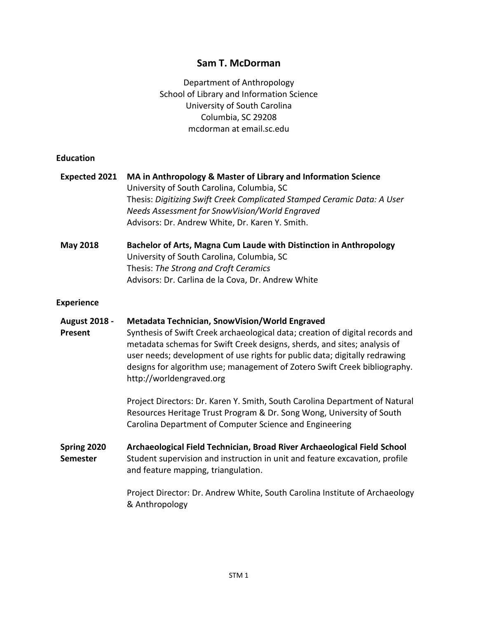# **Sam T. McDorman**

Department of Anthropology School of Library and Information Science University of South Carolina Columbia, SC 29208 mcdorman at email.sc.edu

### **Education**

| <b>Expected 2021</b>            | MA in Anthropology & Master of Library and Information Science<br>University of South Carolina, Columbia, SC<br>Thesis: Digitizing Swift Creek Complicated Stamped Ceramic Data: A User<br>Needs Assessment for SnowVision/World Engraved<br>Advisors: Dr. Andrew White, Dr. Karen Y. Smith.                                                                                                              |
|---------------------------------|-----------------------------------------------------------------------------------------------------------------------------------------------------------------------------------------------------------------------------------------------------------------------------------------------------------------------------------------------------------------------------------------------------------|
| <b>May 2018</b>                 | Bachelor of Arts, Magna Cum Laude with Distinction in Anthropology<br>University of South Carolina, Columbia, SC<br>Thesis: The Strong and Croft Ceramics<br>Advisors: Dr. Carlina de la Cova, Dr. Andrew White                                                                                                                                                                                           |
| <b>Experience</b>               |                                                                                                                                                                                                                                                                                                                                                                                                           |
| <b>August 2018 -</b><br>Present | <b>Metadata Technician, SnowVision/World Engraved</b><br>Synthesis of Swift Creek archaeological data; creation of digital records and<br>metadata schemas for Swift Creek designs, sherds, and sites; analysis of<br>user needs; development of use rights for public data; digitally redrawing<br>designs for algorithm use; management of Zotero Swift Creek bibliography.<br>http://worldengraved.org |
|                                 | Project Directors: Dr. Karen Y. Smith, South Carolina Department of Natural<br>Resources Heritage Trust Program & Dr. Song Wong, University of South<br>Carolina Department of Computer Science and Engineering                                                                                                                                                                                           |
| Spring 2020<br><b>Semester</b>  | Archaeological Field Technician, Broad River Archaeological Field School<br>Student supervision and instruction in unit and feature excavation, profile<br>and feature mapping, triangulation.                                                                                                                                                                                                            |
|                                 | Project Director: Dr. Andrew White, South Carolina Institute of Archaeology<br>& Anthropology                                                                                                                                                                                                                                                                                                             |
|                                 |                                                                                                                                                                                                                                                                                                                                                                                                           |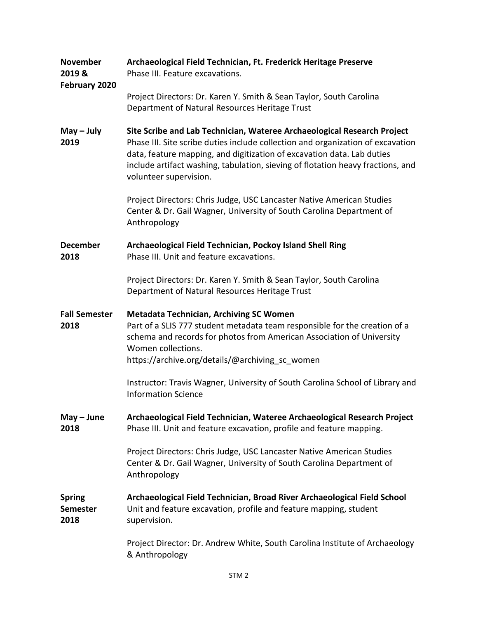| <b>November</b><br>2019 &<br>February 2020 | Archaeological Field Technician, Ft. Frederick Heritage Preserve<br>Phase III. Feature excavations.                                                                                                                                                                                                                                               |
|--------------------------------------------|---------------------------------------------------------------------------------------------------------------------------------------------------------------------------------------------------------------------------------------------------------------------------------------------------------------------------------------------------|
|                                            | Project Directors: Dr. Karen Y. Smith & Sean Taylor, South Carolina<br>Department of Natural Resources Heritage Trust                                                                                                                                                                                                                             |
| $May - July$<br>2019                       | Site Scribe and Lab Technician, Wateree Archaeological Research Project<br>Phase III. Site scribe duties include collection and organization of excavation<br>data, feature mapping, and digitization of excavation data. Lab duties<br>include artifact washing, tabulation, sieving of flotation heavy fractions, and<br>volunteer supervision. |
|                                            | Project Directors: Chris Judge, USC Lancaster Native American Studies<br>Center & Dr. Gail Wagner, University of South Carolina Department of<br>Anthropology                                                                                                                                                                                     |
| <b>December</b><br>2018                    | Archaeological Field Technician, Pockoy Island Shell Ring<br>Phase III. Unit and feature excavations.                                                                                                                                                                                                                                             |
|                                            | Project Directors: Dr. Karen Y. Smith & Sean Taylor, South Carolina<br>Department of Natural Resources Heritage Trust                                                                                                                                                                                                                             |
| <b>Fall Semester</b><br>2018               | <b>Metadata Technician, Archiving SC Women</b><br>Part of a SLIS 777 student metadata team responsible for the creation of a<br>schema and records for photos from American Association of University<br>Women collections.                                                                                                                       |
|                                            | https://archive.org/details/@archiving_sc_women                                                                                                                                                                                                                                                                                                   |
|                                            | Instructor: Travis Wagner, University of South Carolina School of Library and<br><b>Information Science</b>                                                                                                                                                                                                                                       |
| $May - June$<br>2018                       | Archaeological Field Technician, Wateree Archaeological Research Project<br>Phase III. Unit and feature excavation, profile and feature mapping.                                                                                                                                                                                                  |
|                                            | Project Directors: Chris Judge, USC Lancaster Native American Studies<br>Center & Dr. Gail Wagner, University of South Carolina Department of<br>Anthropology                                                                                                                                                                                     |
| <b>Spring</b><br><b>Semester</b><br>2018   | Archaeological Field Technician, Broad River Archaeological Field School<br>Unit and feature excavation, profile and feature mapping, student<br>supervision.                                                                                                                                                                                     |
|                                            | Project Director: Dr. Andrew White, South Carolina Institute of Archaeology<br>& Anthropology                                                                                                                                                                                                                                                     |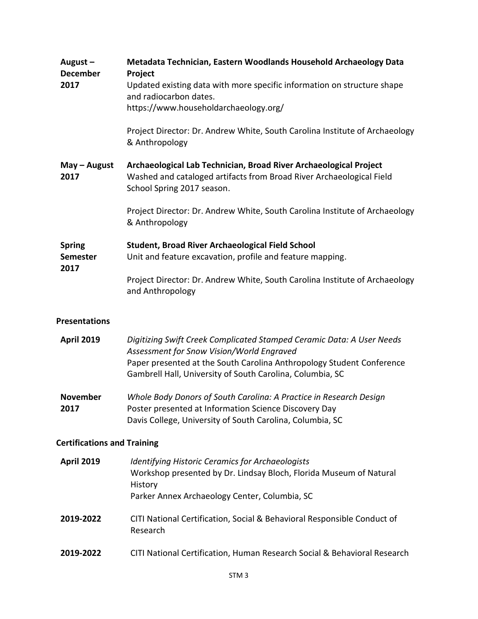| August-<br><b>December</b><br>2017       | Metadata Technician, Eastern Woodlands Household Archaeology Data<br>Project<br>Updated existing data with more specific information on structure shape<br>and radiocarbon dates.<br>https://www.householdarchaeology.org/<br>Project Director: Dr. Andrew White, South Carolina Institute of Archaeology<br>& Anthropology |
|------------------------------------------|-----------------------------------------------------------------------------------------------------------------------------------------------------------------------------------------------------------------------------------------------------------------------------------------------------------------------------|
| $May - August$<br>2017                   | Archaeological Lab Technician, Broad River Archaeological Project<br>Washed and cataloged artifacts from Broad River Archaeological Field<br>School Spring 2017 season.                                                                                                                                                     |
|                                          | Project Director: Dr. Andrew White, South Carolina Institute of Archaeology<br>& Anthropology                                                                                                                                                                                                                               |
| <b>Spring</b><br><b>Semester</b><br>2017 | <b>Student, Broad River Archaeological Field School</b><br>Unit and feature excavation, profile and feature mapping.<br>Project Director: Dr. Andrew White, South Carolina Institute of Archaeology<br>and Anthropology                                                                                                     |
| <b>Presentations</b>                     |                                                                                                                                                                                                                                                                                                                             |
| <b>April 2019</b>                        | Digitizing Swift Creek Complicated Stamped Ceramic Data: A User Needs<br>Assessment for Snow Vision/World Engraved<br>Paper presented at the South Carolina Anthropology Student Conference<br>Gambrell Hall, University of South Carolina, Columbia, SC                                                                    |

**November 2017** *Whole Body Donors of South Carolina: A Practice in Research Design* Poster presented at Information Science Discovery Day Davis College, University of South Carolina, Columbia, SC

# **Certifications and Training**

| <b>April 2019</b> | <b>Identifying Historic Ceramics for Archaeologists</b><br>Workshop presented by Dr. Lindsay Bloch, Florida Museum of Natural<br>History<br>Parker Annex Archaeology Center, Columbia, SC |
|-------------------|-------------------------------------------------------------------------------------------------------------------------------------------------------------------------------------------|
| 2019-2022         | CITI National Certification, Social & Behavioral Responsible Conduct of<br>Research                                                                                                       |
| 2019-2022         | CITI National Certification, Human Research Social & Behavioral Research                                                                                                                  |